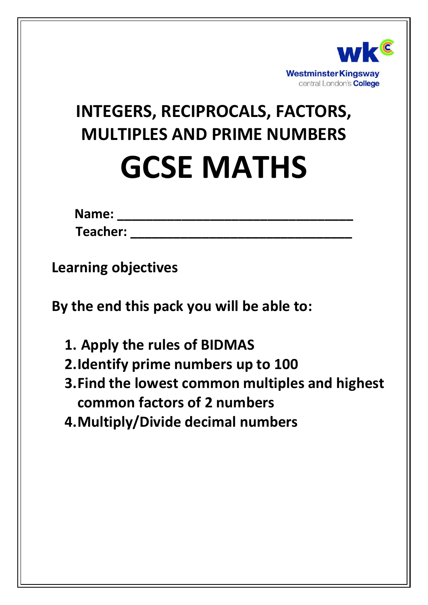

# **INTEGERS, RECIPROCALS, FACTORS, MULTIPLES AND PRIME NUMBERS GCSE MATHS**

| <b>Name:</b>    |  |  |  |
|-----------------|--|--|--|
| <b>Teacher:</b> |  |  |  |

**Learning objectives**

**By the end this pack you will be able to:**

- **1. Apply the rules of BIDMAS**
- **2.Identify prime numbers up to 100**
- **3.Find the lowest common multiples and highest common factors of 2 numbers**
- **4.Multiply/Divide decimal numbers**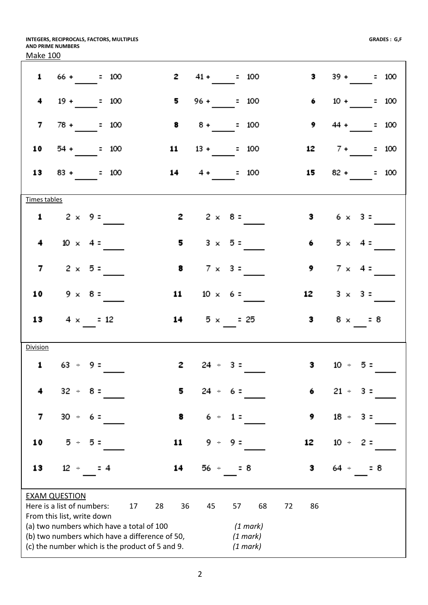**INTEGERS, RECIPROCALS, FACTORS, MULTIPLES AND PRIME NUMBERS** Make 100

|                 | $1 \t 66 + \t 100$                                                                          |                |              | $2 \t 41 + \t 100$     |          | $3 \t39 + \t= 100$  |
|-----------------|---------------------------------------------------------------------------------------------|----------------|--------------|------------------------|----------|---------------------|
| 4               | $19 + 100$                                                                                  | 5              |              | $96 + 100$             | 6        | $10 + 100$          |
| $\overline{7}$  | $78 + 100$                                                                                  | 8              |              | $8 + 100$              | 9        | $44 + 200$          |
| 10              | $54 + 100$                                                                                  | 11             |              | $13 + 100$             |          | $12 \t 7 + \t 100$  |
|                 | $13 \t 83 + \t 100$                                                                         |                |              | $14 \t 4 + \t 100$     |          | $15 \t 82 + \t 100$ |
| Times tables    |                                                                                             |                |              |                        |          |                     |
|                 | 1 $2 \times 9 =$                                                                            | $\mathbf{z}$   |              | $2 \times 8 =$         |          | 3 $6 \times 3 =$    |
| 4               | $10 \times 4 =$                                                                             | 5              |              | $3 \times 5=$          | 6        | $5 \times 4$ =      |
| $\overline{7}$  | $2 \times 5 =$                                                                              | 8              |              | $7 \times 3 =$         | 9        | $7 \times 4$ =      |
|                 | 10 $9 \times 8 =$                                                                           |                |              | 11 $10 \times 6 =$     | 12       | $3 \times 3 =$      |
|                 | 13 $4 \times 12$                                                                            |                |              | 14 $5 \times$ = 25     |          | 3 $8 \times 58$     |
| <b>Division</b> |                                                                                             |                |              |                        |          |                     |
|                 | $1 \t 63 \t - 9 =$                                                                          |                |              | <b>2</b> $24 \div 3 =$ |          | 3 $10 \div 5 =$     |
|                 | $32 -$<br>8 =                                                                               | 5              | 24<br>$\div$ | 6 =                    | 6        | $21 +$<br>з =       |
| 7               | $30 +$<br>6 =                                                                               | 8              | 6<br>$\div$  | $1 =$                  | 9        | $18 +$<br>$3 =$     |
| 10              | 5 ÷<br>5 =                                                                                  | 11             | 9.<br>÷      | 9 =                    | 12       | $10 +$<br>2 =       |
| 13              | $12 +$<br>4                                                                                 | 14             | 56 -         | = 8                    | з        | 8<br>64 ÷           |
|                 | <b>EXAM QUESTION</b>                                                                        |                |              |                        |          |                     |
|                 | Here is a list of numbers:                                                                  | 17<br>28<br>36 | 45           | 68<br>57               | 72<br>86 |                     |
|                 | From this list, write down                                                                  |                |              |                        |          |                     |
|                 | (a) two numbers which have a total of 100<br>(b) two numbers which have a difference of 50, |                |              | (1 mark)<br>(1 mark)   |          |                     |
|                 | (c) the number which is the product of 5 and 9.                                             |                |              | (1 mark)               |          |                     |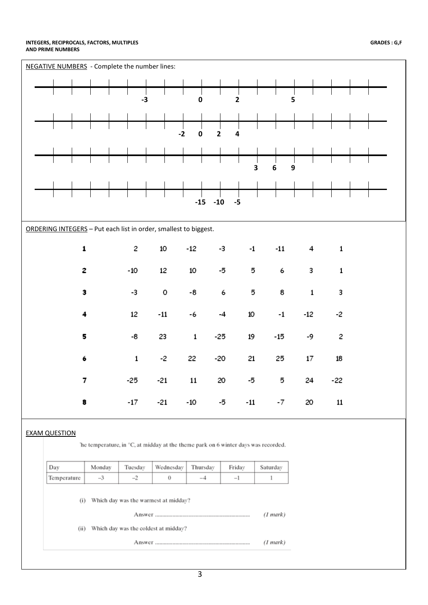#### **INTEGERS, RECIPROCALS, FACTORS, MULTIPLES AND PRIME NUMBERS**

| 5<br>$-3$<br>0<br>2<br>$-2$<br>$\overline{2}$<br>0<br>4<br>3<br>6<br>$\boldsymbol{9}$<br>$-10$<br>$-15$<br>$-5$<br>ORDERING INTEGERS - Put each list in order, smallest to biggest.<br>$\mathbf 1$<br>2<br>10<br>$-12$<br>$-11$<br>-3<br>$-1$<br>4<br>$\mathbf{1}$<br>$-10$<br>12<br>2<br>10<br>-5<br>5<br>6<br>3<br>$\mathbf{1}$<br>3<br>-3<br>-8<br>8<br>0<br>6<br>5<br>$\mathbf 1$<br>3<br>12<br>$^{\rm -11}$<br>10<br>$-12$<br>$-1$<br>-2<br>4<br>-6<br>-4<br>5<br>23<br>-8<br>$\mathbf 1$<br>$-25$<br>19<br>$-15$<br>2<br>-9<br>$-2$<br>$\mathbf 1$<br>22<br>$-20$<br>21<br>25<br>17<br>18<br>6<br>7<br>$-25$<br>$-21$<br>11<br>20<br>5<br>24<br>-5<br>-22<br>$-17$<br>$-21$<br>$-10$<br>$-11$<br>11<br>-5<br>$-7$<br>20<br>8<br><b>EXAM QUESTION</b><br>The temperature, in °C, at midday at the theme park on 6 winter days was recorded.<br>Day<br>Monday<br>Tuesday<br>Wednesday<br>Saturday<br>Thursday<br>Friday<br>Temperature<br>$-3$<br>$-2$<br>$\bf{0}$<br>$-4$<br>$-1$<br>1<br>Which day was the warmest at midday?<br>(i)<br>(1 mark)<br>(ii) Which day was the coldest at midday?<br>(1 mark) | NEGATIVE NUMBERS - Complete the number lines: |  |  |  |  |  |  |  |  |  |  |  |
|-----------------------------------------------------------------------------------------------------------------------------------------------------------------------------------------------------------------------------------------------------------------------------------------------------------------------------------------------------------------------------------------------------------------------------------------------------------------------------------------------------------------------------------------------------------------------------------------------------------------------------------------------------------------------------------------------------------------------------------------------------------------------------------------------------------------------------------------------------------------------------------------------------------------------------------------------------------------------------------------------------------------------------------------------------------------------------------------------------------------|-----------------------------------------------|--|--|--|--|--|--|--|--|--|--|--|
|                                                                                                                                                                                                                                                                                                                                                                                                                                                                                                                                                                                                                                                                                                                                                                                                                                                                                                                                                                                                                                                                                                                 |                                               |  |  |  |  |  |  |  |  |  |  |  |
|                                                                                                                                                                                                                                                                                                                                                                                                                                                                                                                                                                                                                                                                                                                                                                                                                                                                                                                                                                                                                                                                                                                 |                                               |  |  |  |  |  |  |  |  |  |  |  |
|                                                                                                                                                                                                                                                                                                                                                                                                                                                                                                                                                                                                                                                                                                                                                                                                                                                                                                                                                                                                                                                                                                                 |                                               |  |  |  |  |  |  |  |  |  |  |  |
|                                                                                                                                                                                                                                                                                                                                                                                                                                                                                                                                                                                                                                                                                                                                                                                                                                                                                                                                                                                                                                                                                                                 |                                               |  |  |  |  |  |  |  |  |  |  |  |
|                                                                                                                                                                                                                                                                                                                                                                                                                                                                                                                                                                                                                                                                                                                                                                                                                                                                                                                                                                                                                                                                                                                 |                                               |  |  |  |  |  |  |  |  |  |  |  |
|                                                                                                                                                                                                                                                                                                                                                                                                                                                                                                                                                                                                                                                                                                                                                                                                                                                                                                                                                                                                                                                                                                                 |                                               |  |  |  |  |  |  |  |  |  |  |  |
|                                                                                                                                                                                                                                                                                                                                                                                                                                                                                                                                                                                                                                                                                                                                                                                                                                                                                                                                                                                                                                                                                                                 |                                               |  |  |  |  |  |  |  |  |  |  |  |
|                                                                                                                                                                                                                                                                                                                                                                                                                                                                                                                                                                                                                                                                                                                                                                                                                                                                                                                                                                                                                                                                                                                 |                                               |  |  |  |  |  |  |  |  |  |  |  |
|                                                                                                                                                                                                                                                                                                                                                                                                                                                                                                                                                                                                                                                                                                                                                                                                                                                                                                                                                                                                                                                                                                                 |                                               |  |  |  |  |  |  |  |  |  |  |  |
|                                                                                                                                                                                                                                                                                                                                                                                                                                                                                                                                                                                                                                                                                                                                                                                                                                                                                                                                                                                                                                                                                                                 |                                               |  |  |  |  |  |  |  |  |  |  |  |
|                                                                                                                                                                                                                                                                                                                                                                                                                                                                                                                                                                                                                                                                                                                                                                                                                                                                                                                                                                                                                                                                                                                 |                                               |  |  |  |  |  |  |  |  |  |  |  |
|                                                                                                                                                                                                                                                                                                                                                                                                                                                                                                                                                                                                                                                                                                                                                                                                                                                                                                                                                                                                                                                                                                                 |                                               |  |  |  |  |  |  |  |  |  |  |  |
|                                                                                                                                                                                                                                                                                                                                                                                                                                                                                                                                                                                                                                                                                                                                                                                                                                                                                                                                                                                                                                                                                                                 |                                               |  |  |  |  |  |  |  |  |  |  |  |
|                                                                                                                                                                                                                                                                                                                                                                                                                                                                                                                                                                                                                                                                                                                                                                                                                                                                                                                                                                                                                                                                                                                 |                                               |  |  |  |  |  |  |  |  |  |  |  |
|                                                                                                                                                                                                                                                                                                                                                                                                                                                                                                                                                                                                                                                                                                                                                                                                                                                                                                                                                                                                                                                                                                                 |                                               |  |  |  |  |  |  |  |  |  |  |  |
|                                                                                                                                                                                                                                                                                                                                                                                                                                                                                                                                                                                                                                                                                                                                                                                                                                                                                                                                                                                                                                                                                                                 |                                               |  |  |  |  |  |  |  |  |  |  |  |
|                                                                                                                                                                                                                                                                                                                                                                                                                                                                                                                                                                                                                                                                                                                                                                                                                                                                                                                                                                                                                                                                                                                 |                                               |  |  |  |  |  |  |  |  |  |  |  |
|                                                                                                                                                                                                                                                                                                                                                                                                                                                                                                                                                                                                                                                                                                                                                                                                                                                                                                                                                                                                                                                                                                                 |                                               |  |  |  |  |  |  |  |  |  |  |  |
|                                                                                                                                                                                                                                                                                                                                                                                                                                                                                                                                                                                                                                                                                                                                                                                                                                                                                                                                                                                                                                                                                                                 |                                               |  |  |  |  |  |  |  |  |  |  |  |
|                                                                                                                                                                                                                                                                                                                                                                                                                                                                                                                                                                                                                                                                                                                                                                                                                                                                                                                                                                                                                                                                                                                 |                                               |  |  |  |  |  |  |  |  |  |  |  |
|                                                                                                                                                                                                                                                                                                                                                                                                                                                                                                                                                                                                                                                                                                                                                                                                                                                                                                                                                                                                                                                                                                                 |                                               |  |  |  |  |  |  |  |  |  |  |  |
|                                                                                                                                                                                                                                                                                                                                                                                                                                                                                                                                                                                                                                                                                                                                                                                                                                                                                                                                                                                                                                                                                                                 |                                               |  |  |  |  |  |  |  |  |  |  |  |
|                                                                                                                                                                                                                                                                                                                                                                                                                                                                                                                                                                                                                                                                                                                                                                                                                                                                                                                                                                                                                                                                                                                 |                                               |  |  |  |  |  |  |  |  |  |  |  |
|                                                                                                                                                                                                                                                                                                                                                                                                                                                                                                                                                                                                                                                                                                                                                                                                                                                                                                                                                                                                                                                                                                                 |                                               |  |  |  |  |  |  |  |  |  |  |  |
|                                                                                                                                                                                                                                                                                                                                                                                                                                                                                                                                                                                                                                                                                                                                                                                                                                                                                                                                                                                                                                                                                                                 |                                               |  |  |  |  |  |  |  |  |  |  |  |
|                                                                                                                                                                                                                                                                                                                                                                                                                                                                                                                                                                                                                                                                                                                                                                                                                                                                                                                                                                                                                                                                                                                 |                                               |  |  |  |  |  |  |  |  |  |  |  |
|                                                                                                                                                                                                                                                                                                                                                                                                                                                                                                                                                                                                                                                                                                                                                                                                                                                                                                                                                                                                                                                                                                                 |                                               |  |  |  |  |  |  |  |  |  |  |  |
|                                                                                                                                                                                                                                                                                                                                                                                                                                                                                                                                                                                                                                                                                                                                                                                                                                                                                                                                                                                                                                                                                                                 |                                               |  |  |  |  |  |  |  |  |  |  |  |
|                                                                                                                                                                                                                                                                                                                                                                                                                                                                                                                                                                                                                                                                                                                                                                                                                                                                                                                                                                                                                                                                                                                 |                                               |  |  |  |  |  |  |  |  |  |  |  |
|                                                                                                                                                                                                                                                                                                                                                                                                                                                                                                                                                                                                                                                                                                                                                                                                                                                                                                                                                                                                                                                                                                                 |                                               |  |  |  |  |  |  |  |  |  |  |  |
|                                                                                                                                                                                                                                                                                                                                                                                                                                                                                                                                                                                                                                                                                                                                                                                                                                                                                                                                                                                                                                                                                                                 |                                               |  |  |  |  |  |  |  |  |  |  |  |
|                                                                                                                                                                                                                                                                                                                                                                                                                                                                                                                                                                                                                                                                                                                                                                                                                                                                                                                                                                                                                                                                                                                 |                                               |  |  |  |  |  |  |  |  |  |  |  |
|                                                                                                                                                                                                                                                                                                                                                                                                                                                                                                                                                                                                                                                                                                                                                                                                                                                                                                                                                                                                                                                                                                                 |                                               |  |  |  |  |  |  |  |  |  |  |  |
|                                                                                                                                                                                                                                                                                                                                                                                                                                                                                                                                                                                                                                                                                                                                                                                                                                                                                                                                                                                                                                                                                                                 |                                               |  |  |  |  |  |  |  |  |  |  |  |
|                                                                                                                                                                                                                                                                                                                                                                                                                                                                                                                                                                                                                                                                                                                                                                                                                                                                                                                                                                                                                                                                                                                 |                                               |  |  |  |  |  |  |  |  |  |  |  |
|                                                                                                                                                                                                                                                                                                                                                                                                                                                                                                                                                                                                                                                                                                                                                                                                                                                                                                                                                                                                                                                                                                                 |                                               |  |  |  |  |  |  |  |  |  |  |  |
|                                                                                                                                                                                                                                                                                                                                                                                                                                                                                                                                                                                                                                                                                                                                                                                                                                                                                                                                                                                                                                                                                                                 |                                               |  |  |  |  |  |  |  |  |  |  |  |
|                                                                                                                                                                                                                                                                                                                                                                                                                                                                                                                                                                                                                                                                                                                                                                                                                                                                                                                                                                                                                                                                                                                 |                                               |  |  |  |  |  |  |  |  |  |  |  |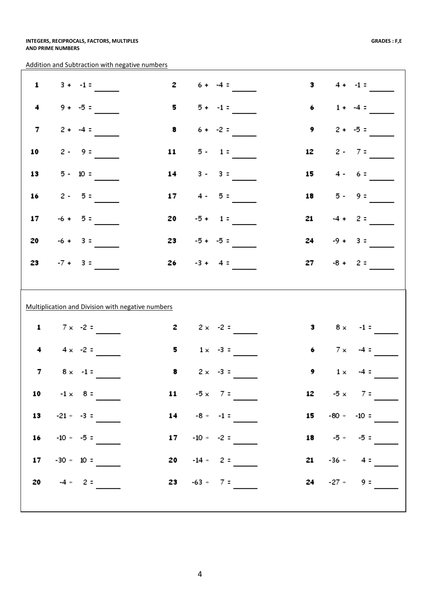Addition and Subtraction with negative numbers

| 1              | $3 + -1 =$                                        | $\mathbf{z}$ | $6 + -4 =$                            | з                   |            | $4 + -1 =$         |
|----------------|---------------------------------------------------|--------------|---------------------------------------|---------------------|------------|--------------------|
| 4              | $9 + -5 =$                                        | 5            | $5 + -1 =$                            | 6                   |            | $1 + -4 =$         |
| $\overline{7}$ | $2 + -4 =$                                        | 8            | $6 + -2 =$                            | 9                   |            | $2 + -5 =$         |
| 10             | $2 - 9 =$                                         | 11 \,        | $5 - 1 =$                             | 12                  |            | $2 - 7 =$          |
| 13             | $5 - 10 =$                                        | 14           | $3 - 3 =$                             | 15                  |            | $4 - 6 =$          |
| 16             | $2 - 5 =$                                         | 17           | $4 - 5 =$                             | 18                  |            | $5 - 9 =$          |
| 17             | $-6 + 5 =$                                        | 20           | $-5 + 1 =$                            | 21                  |            | $-4 + 2 =$         |
| 20             | $-6 + 3 =$                                        | 23           | $-5 + -5 =$                           | 24                  |            | $-9 + 3 =$         |
| 23             | $-7 + 3 =$                                        | 26 —         | $-3 + 4 =$                            | 27                  |            | $-8 + 2 =$         |
|                |                                                   |              |                                       |                     |            |                    |
|                |                                                   |              |                                       |                     |            |                    |
|                | Multiplication and Division with negative numbers |              |                                       |                     |            |                    |
| $\mathbf{1}$   | $7 \times -2 =$                                   | 2            | $2 \times -2 =$                       | з                   |            | $8 \times -1 =$    |
| 4              | $4 \times -2 =$                                   | 5            | $1 \times -3 =$                       | 6                   | $7 \times$ | $-4 =$             |
| 7              | $8 \times -1 =$                                   | 8            | $2 \times -3 =$                       | 9                   | $1 \times$ | $-4 =$             |
|                |                                                   |              | 10 $-1 \times 8 = 11 -5 \times 7 = 1$ |                     |            | 12 $-5 \times 7 =$ |
|                | 13 $-21 \div -3 =$                                |              | 14 $-8 \div -1 =$                     | 15 $-80 \div -10 =$ |            |                    |
|                | 16 $-10 \div -5 =$                                |              | 17 $-10 \div -2 =$                    |                     |            | 18 $-5 \div -5 =$  |
|                | 17 $-30 \div 10 =$                                |              | <b>20</b> $-14 \div 2 =$              |                     |            | $21 -36 - 4 =$     |
|                | 20 $-4 - 2 =$                                     |              | 23 $-63 - 7 =$                        |                     |            | 24 $-27 - 9 =$     |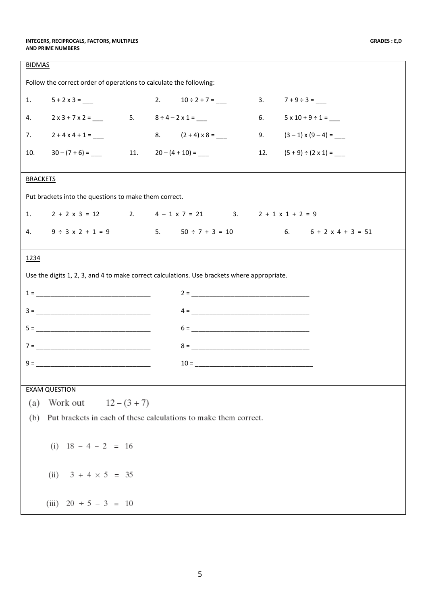| <b>BIDMAS</b>   |                                                                                             |  |                                                                            |                                                                                        |
|-----------------|---------------------------------------------------------------------------------------------|--|----------------------------------------------------------------------------|----------------------------------------------------------------------------------------|
|                 | Follow the correct order of operations to calculate the following:                          |  |                                                                            |                                                                                        |
| 1.              |                                                                                             |  | 2. $10 \div 2 + 7 =$ 3. $7 + 9 \div 3 =$                                   |                                                                                        |
| 4.              |                                                                                             |  | $2 \times 3 + 7 \times 2 =$ 5. $8 \div 4 - 2 \times 1 =$                   | 6. $5 \times 10 + 9 \div 1 =$                                                          |
|                 | 7. $2 + 4 \times 4 + 1 =$ 8. $(2 + 4) \times 8 =$ 9. $(3-1) \times (9-4) =$                 |  |                                                                            |                                                                                        |
| 10.             | $30 - (7 + 6) =$ 11. $20 - (4 + 10) =$ 11.                                                  |  |                                                                            | 12. $(5+9) \div (2 \times 1) =$                                                        |
| <b>BRACKETS</b> |                                                                                             |  |                                                                            |                                                                                        |
|                 | Put brackets into the questions to make them correct.                                       |  |                                                                            |                                                                                        |
| 1.              |                                                                                             |  | $2 + 2 \times 3 = 12$ 2. $4 - 1 \times 7 = 21$ 3. $2 + 1 \times 1 + 2 = 9$ |                                                                                        |
| 4.              |                                                                                             |  |                                                                            | $9 \div 3 \times 2 + 1 = 9$<br>5. $50 \div 7 + 3 = 10$<br>6. $6 + 2 \times 4 + 3 = 51$ |
| 1234            |                                                                                             |  |                                                                            |                                                                                        |
|                 | Use the digits 1, 2, 3, and 4 to make correct calculations. Use brackets where appropriate. |  |                                                                            |                                                                                        |
|                 | $1 = \_$                                                                                    |  | $2 = \_$                                                                   |                                                                                        |
|                 |                                                                                             |  |                                                                            |                                                                                        |
|                 |                                                                                             |  |                                                                            |                                                                                        |
|                 | $7 = \_$                                                                                    |  | $8 = \_$                                                                   |                                                                                        |
|                 |                                                                                             |  |                                                                            |                                                                                        |
|                 |                                                                                             |  |                                                                            |                                                                                        |
| (a)             | <b>EXAM QUESTION</b><br>$12 - (3 + 7)$<br>Work out                                          |  |                                                                            |                                                                                        |
| (b)             | Put brackets in each of these calculations to make them correct.                            |  |                                                                            |                                                                                        |
|                 |                                                                                             |  |                                                                            |                                                                                        |
|                 | (i) $18 - 4 - 2 = 16$                                                                       |  |                                                                            |                                                                                        |
|                 | (ii) $3 + 4 \times 5 = 35$                                                                  |  |                                                                            |                                                                                        |
|                 | (iii) $20 \div 5 - 3 = 10$                                                                  |  |                                                                            |                                                                                        |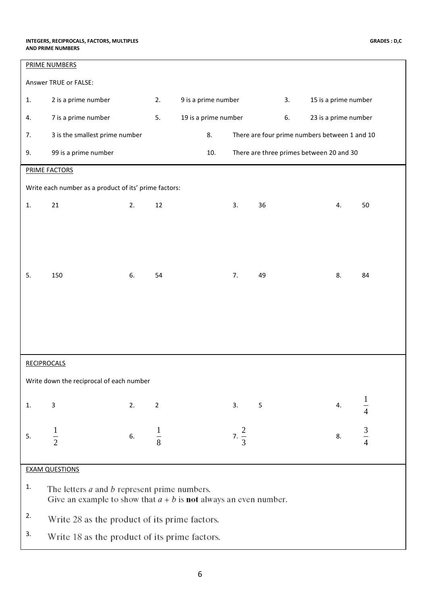|                                                                                                                               | PRIME NUMBERS                                         |    |                |                      |                  |            |    |                                               |  |  |
|-------------------------------------------------------------------------------------------------------------------------------|-------------------------------------------------------|----|----------------|----------------------|------------------|------------|----|-----------------------------------------------|--|--|
|                                                                                                                               | Answer TRUE or FALSE:                                 |    |                |                      |                  |            |    |                                               |  |  |
| 1.                                                                                                                            | 2 is a prime number                                   |    | 2.             | 9 is a prime number  |                  |            | 3. | 15 is a prime number                          |  |  |
| 4.                                                                                                                            | 7 is a prime number                                   |    | 5.             | 19 is a prime number |                  |            | 6. | 23 is a prime number                          |  |  |
| 7.                                                                                                                            | 3 is the smallest prime number                        |    |                | 8.                   |                  |            |    | There are four prime numbers between 1 and 10 |  |  |
| 9.                                                                                                                            | 99 is a prime number                                  |    |                | 10.                  |                  |            |    | There are three primes between 20 and 30      |  |  |
|                                                                                                                               | <b>PRIME FACTORS</b>                                  |    |                |                      |                  |            |    |                                               |  |  |
|                                                                                                                               | Write each number as a product of its' prime factors: |    |                |                      |                  |            |    |                                               |  |  |
| 1.                                                                                                                            | 21                                                    | 2. | 12             |                      | 3.               | 36         |    | 50<br>4.                                      |  |  |
|                                                                                                                               |                                                       |    |                |                      |                  |            |    |                                               |  |  |
|                                                                                                                               |                                                       |    |                |                      |                  |            |    |                                               |  |  |
|                                                                                                                               |                                                       |    |                |                      |                  |            |    |                                               |  |  |
| 5.                                                                                                                            | 150                                                   | 6. | 54             |                      | 7.               | 49         |    | 8.<br>84                                      |  |  |
|                                                                                                                               |                                                       |    |                |                      |                  |            |    |                                               |  |  |
|                                                                                                                               |                                                       |    |                |                      |                  |            |    |                                               |  |  |
|                                                                                                                               |                                                       |    |                |                      |                  |            |    |                                               |  |  |
|                                                                                                                               |                                                       |    |                |                      |                  |            |    |                                               |  |  |
|                                                                                                                               | <b>RECIPROCALS</b>                                    |    |                |                      |                  |            |    |                                               |  |  |
|                                                                                                                               | Write down the reciprocal of each number              |    |                |                      |                  |            |    |                                               |  |  |
|                                                                                                                               |                                                       |    |                |                      |                  |            |    |                                               |  |  |
| 1.                                                                                                                            | 3                                                     | 2. | $\overline{2}$ |                      | 3.               | $\sqrt{5}$ |    | 4.<br>4                                       |  |  |
| 5.                                                                                                                            | $\frac{1}{2}$                                         | 6. | $\frac{1}{8}$  |                      | 7. $\frac{2}{3}$ |            |    | $rac{3}{4}$<br>8.                             |  |  |
|                                                                                                                               |                                                       |    |                |                      |                  |            |    |                                               |  |  |
|                                                                                                                               | <b>EXAM QUESTIONS</b>                                 |    |                |                      |                  |            |    |                                               |  |  |
| 1.                                                                                                                            |                                                       |    |                |                      |                  |            |    |                                               |  |  |
| The letters $a$ and $b$ represent prime numbers.<br>Give an example to show that $a + b$ is <b>not</b> always an even number. |                                                       |    |                |                      |                  |            |    |                                               |  |  |
| 2.                                                                                                                            | Write 28 as the product of its prime factors.         |    |                |                      |                  |            |    |                                               |  |  |
| 3.                                                                                                                            | Write 18 as the product of its prime factors.         |    |                |                      |                  |            |    |                                               |  |  |
|                                                                                                                               |                                                       |    |                |                      |                  |            |    |                                               |  |  |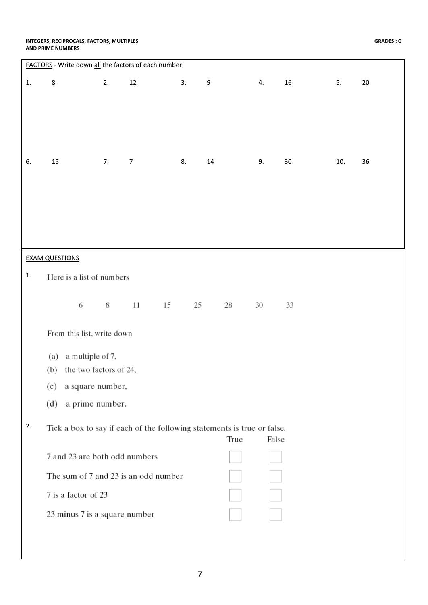#### **INTEGERS, RECIPROCALS, FACTORS, MULTIPLES AND PRIME NUMBERS**

|    | FACTORS - Write down all the factors of each number:                    |    |                |    |    |        |      |    |        |     |    |
|----|-------------------------------------------------------------------------|----|----------------|----|----|--------|------|----|--------|-----|----|
| 1. | $\bf 8$                                                                 | 2. | $12\,$         |    | 3. | 9      |      | 4. | 16     | 5.  | 20 |
|    |                                                                         |    |                |    |    |        |      |    |        |     |    |
|    |                                                                         |    |                |    |    |        |      |    |        |     |    |
|    |                                                                         |    |                |    |    |        |      |    |        |     |    |
|    |                                                                         |    |                |    |    |        |      |    |        |     |    |
|    |                                                                         |    |                |    |    |        |      |    |        |     |    |
| 6. | 15                                                                      | 7. | $\overline{7}$ |    | 8. | $14\,$ |      | 9. | $30\,$ | 10. | 36 |
|    |                                                                         |    |                |    |    |        |      |    |        |     |    |
|    |                                                                         |    |                |    |    |        |      |    |        |     |    |
|    |                                                                         |    |                |    |    |        |      |    |        |     |    |
|    |                                                                         |    |                |    |    |        |      |    |        |     |    |
|    |                                                                         |    |                |    |    |        |      |    |        |     |    |
|    |                                                                         |    |                |    |    |        |      |    |        |     |    |
|    | <b>EXAM QUESTIONS</b>                                                   |    |                |    |    |        |      |    |        |     |    |
| 1. | Here is a list of numbers                                               |    |                |    |    |        |      |    |        |     |    |
|    |                                                                         |    |                |    |    |        |      |    |        |     |    |
|    | 6                                                                       | 8  | $11\,$         | 15 | 25 |        | 28   | 30 | 33     |     |    |
|    |                                                                         |    |                |    |    |        |      |    |        |     |    |
|    | From this list, write down                                              |    |                |    |    |        |      |    |        |     |    |
|    | a multiple of 7,<br>(a)                                                 |    |                |    |    |        |      |    |        |     |    |
|    | the two factors of 24,<br>(b)                                           |    |                |    |    |        |      |    |        |     |    |
|    |                                                                         |    |                |    |    |        |      |    |        |     |    |
|    | a square number,<br>(c)                                                 |    |                |    |    |        |      |    |        |     |    |
|    | a prime number.<br>(d)                                                  |    |                |    |    |        |      |    |        |     |    |
| 2. |                                                                         |    |                |    |    |        |      |    |        |     |    |
|    | Tick a box to say if each of the following statements is true or false. |    |                |    |    |        | True |    | False  |     |    |
|    | 7 and 23 are both odd numbers                                           |    |                |    |    |        |      |    |        |     |    |
|    |                                                                         |    |                |    |    |        |      |    |        |     |    |
|    | The sum of 7 and 23 is an odd number                                    |    |                |    |    |        |      |    |        |     |    |
|    | 7 is a factor of 23                                                     |    |                |    |    |        |      |    |        |     |    |
|    | 23 minus 7 is a square number                                           |    |                |    |    |        |      |    |        |     |    |
|    |                                                                         |    |                |    |    |        |      |    |        |     |    |
|    |                                                                         |    |                |    |    |        |      |    |        |     |    |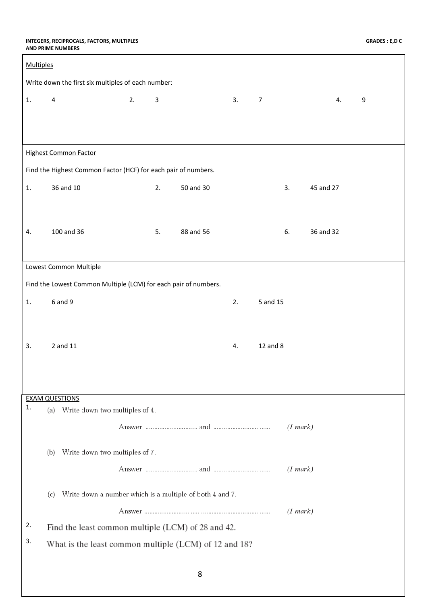#### **INTEGERS, RECIPROCALS, FACTORS, MULTIPLES AND PRIME NUMBERS**

| <b>Multiples</b> |                                                                 |                    |           |    |                |           |    |                  |
|------------------|-----------------------------------------------------------------|--------------------|-----------|----|----------------|-----------|----|------------------|
|                  | Write down the first six multiples of each number:              |                    |           |    |                |           |    |                  |
| 1.               | $\sqrt{4}$                                                      | 2.<br>$\mathbf{3}$ |           | 3. | $\overline{7}$ |           | 4. | $\boldsymbol{9}$ |
|                  |                                                                 |                    |           |    |                |           |    |                  |
|                  |                                                                 |                    |           |    |                |           |    |                  |
|                  | <b>Highest Common Factor</b>                                    |                    |           |    |                |           |    |                  |
|                  | Find the Highest Common Factor (HCF) for each pair of numbers.  |                    |           |    |                |           |    |                  |
| 1.               | 36 and 10                                                       | 2.                 | 50 and 30 |    | 3.             | 45 and 27 |    |                  |
|                  |                                                                 |                    |           |    |                |           |    |                  |
|                  |                                                                 |                    |           |    |                |           |    |                  |
| 4.               | 100 and 36                                                      | 5.                 | 88 and 56 |    | 6.             | 36 and 32 |    |                  |
|                  |                                                                 |                    |           |    |                |           |    |                  |
|                  | Lowest Common Multiple                                          |                    |           |    |                |           |    |                  |
|                  | Find the Lowest Common Multiple (LCM) for each pair of numbers. |                    |           |    |                |           |    |                  |
| 1.               | 6 and 9                                                         |                    |           | 2. | 5 and 15       |           |    |                  |
|                  |                                                                 |                    |           |    |                |           |    |                  |
| 3.               | 2 and 11                                                        |                    |           | 4. | 12 and 8       |           |    |                  |
|                  |                                                                 |                    |           |    |                |           |    |                  |
|                  |                                                                 |                    |           |    |                |           |    |                  |
|                  | <b>EXAM QUESTIONS</b>                                           |                    |           |    |                |           |    |                  |
| 1.               | (a) Write down two multiples of 4.                              |                    |           |    |                |           |    |                  |
|                  |                                                                 |                    |           |    |                | (1 mark)  |    |                  |
|                  | Write down two multiples of 7.<br>(b)                           |                    |           |    |                |           |    |                  |
|                  |                                                                 |                    |           |    |                | (1 mark)  |    |                  |
|                  |                                                                 |                    |           |    |                |           |    |                  |
|                  | Write down a number which is a multiple of both 4 and 7.<br>(c) |                    |           |    |                |           |    |                  |
|                  |                                                                 |                    |           |    |                | (1 mark)  |    |                  |
| 2.               | Find the least common multiple (LCM) of 28 and 42.              |                    |           |    |                |           |    |                  |
| 3.               | What is the least common multiple (LCM) of 12 and 18?           |                    |           |    |                |           |    |                  |
|                  |                                                                 |                    |           |    |                |           |    |                  |
|                  |                                                                 |                    | 8         |    |                |           |    |                  |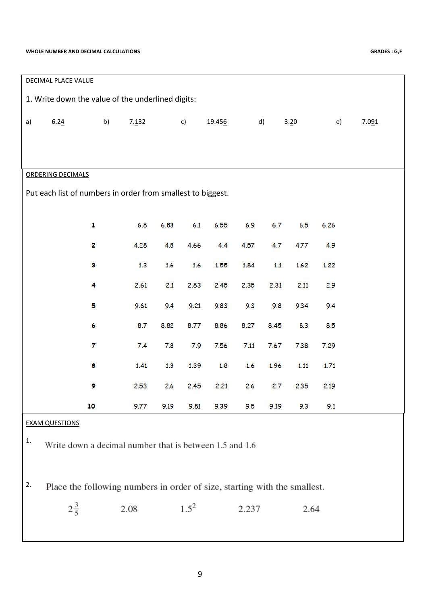#### **WHOLE NUMBER AND DECIMAL CALCULATIONS GRADES : G,F**

| <b>DECIMAL PLACE VALUE</b>                                  |                                                                           |    |                                                         |      |           |        |       |      |      |      |       |
|-------------------------------------------------------------|---------------------------------------------------------------------------|----|---------------------------------------------------------|------|-----------|--------|-------|------|------|------|-------|
|                                                             |                                                                           |    | 1. Write down the value of the underlined digits:       |      |           |        |       |      |      |      |       |
| a)                                                          | 6.24                                                                      | b) | 7.132                                                   |      | c)        | 19.456 | d)    |      | 3.20 | e)   | 7.091 |
|                                                             |                                                                           |    |                                                         |      |           |        |       |      |      |      |       |
|                                                             |                                                                           |    |                                                         |      |           |        |       |      |      |      |       |
|                                                             | <b>ORDERING DECIMALS</b>                                                  |    |                                                         |      |           |        |       |      |      |      |       |
| Put each list of numbers in order from smallest to biggest. |                                                                           |    |                                                         |      |           |        |       |      |      |      |       |
|                                                             |                                                                           |    |                                                         |      |           |        |       |      |      |      |       |
|                                                             |                                                                           | 1  | 6.8                                                     | 6.83 | 6.1       | 6.55   | 6.9   | 6.7  | 6.5  | 6.26 |       |
|                                                             |                                                                           | 2  | 4.28                                                    | 4.8  | 4.66      | 4.4    | 4.57  | 4.7  | 4.77 | 4.9  |       |
|                                                             |                                                                           | 3  | 1.3                                                     | 1.6  | 1.6       | 1.55   | 1.84  | 1.1  | 1.62 | 1.22 |       |
|                                                             |                                                                           | 4  | 2.61                                                    | 2.1  | 2.83      | 2.45   | 2.35  | 2.31 | 2.11 | 2.9  |       |
|                                                             |                                                                           | 5  | 9.61                                                    | 9.4  | 9.21      | 9.83   | 9.3   | 9.8  | 9.34 | 9.4  |       |
|                                                             |                                                                           | 6  | 8.7                                                     | 8.82 | 8.77      | 8.86   | 8.27  | 8.45 | 8.3  | 8.5  |       |
|                                                             |                                                                           | 7  | 7.4                                                     | 7.8  | 7.9       | 7.56   | 7.11  | 7.67 | 7.38 | 7.29 |       |
|                                                             |                                                                           | 8  | 1.41                                                    | 1.3  | 1.39      | 1.8    | 1.6   | 1.96 | 1.11 | 1.71 |       |
|                                                             |                                                                           | 9  | 2.53                                                    | 2.6  | 2.45      | 2.21   | 2.6   | 2.7  | 2.35 | 2.19 |       |
|                                                             |                                                                           | 10 | 9.77                                                    | 9.19 | 9.81      | 9.39   | 9.5   | 9.19 | 9.3  | 9.1  |       |
|                                                             | <b>EXAM QUESTIONS</b>                                                     |    |                                                         |      |           |        |       |      |      |      |       |
| 1.                                                          |                                                                           |    | Write down a decimal number that is between 1.5 and 1.6 |      |           |        |       |      |      |      |       |
|                                                             |                                                                           |    |                                                         |      |           |        |       |      |      |      |       |
| 2.                                                          | Place the following numbers in order of size, starting with the smallest. |    |                                                         |      |           |        |       |      |      |      |       |
|                                                             | $2\frac{3}{5}$                                                            |    | 2.08                                                    |      | $1.5^{2}$ |        | 2.237 |      | 2.64 |      |       |
|                                                             |                                                                           |    |                                                         |      |           |        |       |      |      |      |       |
|                                                             |                                                                           |    |                                                         |      |           |        |       |      |      |      |       |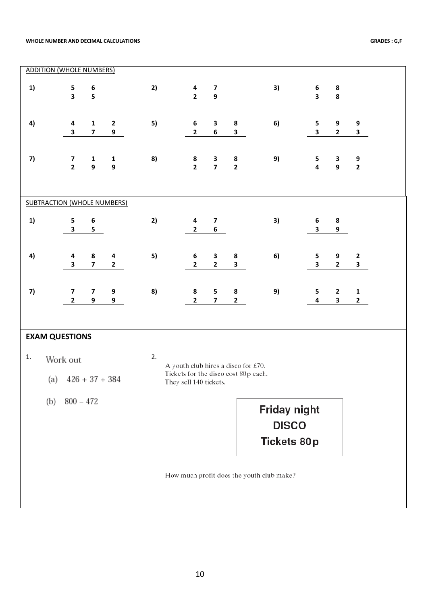#### **WHOLE NUMBER AND DECIMAL CALCULATIONS GRADES : G,F**

|           | <b>ADDITION (WHOLE NUMBERS)</b>                         |                                         |                   |    |                                                                                                       |                              |                                      |                                                           |                                             |                                         |                              |  |
|-----------|---------------------------------------------------------|-----------------------------------------|-------------------|----|-------------------------------------------------------------------------------------------------------|------------------------------|--------------------------------------|-----------------------------------------------------------|---------------------------------------------|-----------------------------------------|------------------------------|--|
| 1)        | 5<br>$\overline{\mathbf{3}}$                            | 6<br>5                                  |                   | 2) | $\overline{\mathbf{4}}$<br>$\mathbf{2}$                                                               | $\overline{\mathbf{z}}$<br>9 |                                      | 3)                                                        | $\boldsymbol{6}$<br>$\overline{\mathbf{3}}$ | 8<br>8                                  |                              |  |
| 4)        | $\overline{\mathbf{a}}$<br>$\overline{\mathbf{3}}$      | $\mathbf{1}$<br>$\overline{\mathbf{z}}$ | $\mathbf{2}$<br>9 | 5) | $\boldsymbol{6}$<br>$\mathbf{2}$                                                                      | 3<br>6                       | ${\bf 8}$<br>$\overline{\mathbf{3}}$ | 6)                                                        | 5<br>$\overline{\mathbf{3}}$                | 9<br>$\mathbf{2}$                       | 9<br>$\mathbf{3}$            |  |
| 7)        | $\boldsymbol{7}$<br>$\mathbf{2}$                        | $\mathbf 1$<br>9                        | $\mathbf{1}$<br>9 | 8) | 8<br>$\mathbf{2}$                                                                                     | 3<br>$\overline{\mathbf{z}}$ | ${\bf 8}$<br>$\mathbf{2}$            | 9)                                                        | 5<br>$\overline{\mathbf{4}}$                | 3<br>$\boldsymbol{9}$                   | 9<br>$\mathbf{2}$            |  |
|           | <b>SUBTRACTION (WHOLE NUMBERS)</b>                      |                                         |                   |    |                                                                                                       |                              |                                      |                                                           |                                             |                                         |                              |  |
| 1)        | 5<br>$\mathbf{3}$                                       | 6<br>5                                  |                   | 2) | 4<br>$\mathbf{2}$                                                                                     | $\overline{\mathbf{z}}$<br>6 |                                      | 3)                                                        | $\bf 6$<br>$\overline{\mathbf{3}}$          | 8<br>9                                  |                              |  |
| 4)        | 4<br>$\overline{\mathbf{3}}$                            | 8<br>$\overline{\mathbf{z}}$            | 4<br>$\mathbf{2}$ | 5) | $\boldsymbol{6}$<br>$\mathbf{2}$                                                                      | 3<br>$\mathbf{2}$            | ${\bf 8}$<br>3                       | 6)                                                        | 5<br>$\overline{\mathbf{3}}$                | 9<br>$\mathbf{2}$                       | $\mathbf{2}$<br>$\mathbf{3}$ |  |
| 7)        | $\overline{\mathbf{z}}$<br>$\mathbf{2}$                 | $\overline{\mathbf{z}}$<br>9            | 9<br>9            | 8) | 8<br>$\mathbf{2}$                                                                                     | 5<br>$\overline{\mathbf{z}}$ | ${\bf 8}$<br>$\mathbf{2}$            | 9)                                                        | 5<br>$\overline{\mathbf{4}}$                | $\mathbf{2}$<br>$\overline{\mathbf{3}}$ | $\mathbf 1$<br>$\mathbf{2}$  |  |
| 1.<br>(b) | <b>EXAM QUESTIONS</b><br>Work out<br>(a)<br>$800 - 472$ | $426 + 37 + 384$                        |                   | 2. | A youth club hires a disco for £70.<br>Tickets for the disco cost 80p each.<br>They sell 140 tickets. |                              |                                      | <b>Friday night</b><br><b>DISCO</b><br><b>Tickets 80p</b> |                                             |                                         |                              |  |
|           |                                                         |                                         |                   |    |                                                                                                       |                              |                                      | How much profit does the youth club make?                 |                                             |                                         |                              |  |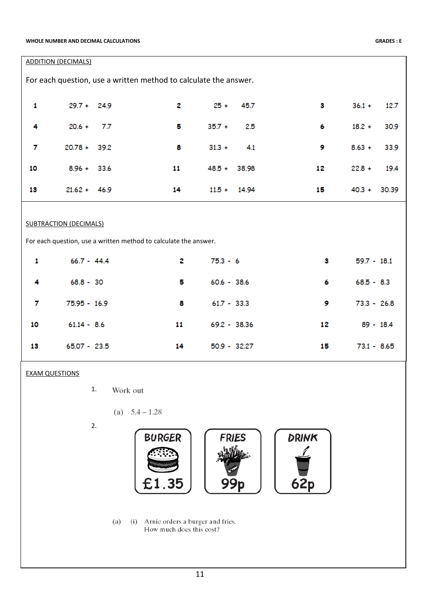|    | <b>ADDITION (DECIMALS)</b>    |      |                                                                  |                |                |    |                   |
|----|-------------------------------|------|------------------------------------------------------------------|----------------|----------------|----|-------------------|
|    |                               |      | For each question, use a written method to calculate the answer. |                |                |    |                   |
| 1  | $29.7 + 24.9$                 |      | $\overline{2}$                                                   | $25 +$         | 45.7           | 3  | $36.1 +$<br>12.7  |
| 4  | $20.6 +$                      | 7.7  | 5                                                                | $35.7 +$       | 2.5            | 6  | $18.2 +$<br>30.9  |
| 7  | $20.78 +$                     | 39.2 | 8                                                                | $31.3 +$       | 4.1            | 9  | $8.63 +$<br>33.9  |
| 10 | $8.96 +$                      | 33.6 | 11                                                               | $48.5 +$       | 38.98          | 12 | $22.8 +$<br>19.4  |
| 13 | $21.62 + 46.9$                |      | 14                                                               |                | $11.5 + 14.94$ | 15 | $40.3 +$<br>30.39 |
|    | <b>SUBTRACTION (DECIMALS)</b> |      | For each question, use a written method to calculate the answer. |                |                |    |                   |
| 1  | $66.7 - 44.4$                 |      | 2                                                                | $75.3 - 6$     |                | 3  | $59.7 - 18.1$     |
| 4  | $68.8 - 30$                   |      | 5                                                                | $60.6 - 38.6$  |                | 6  | $68.5 - 8.3$      |
| 7  | 75.95 - 16.9                  |      | 8                                                                | $61.7 - 33.3$  |                | 9  | $73.3 - 26.8$     |
| 10 | $61.14 - 8.6$                 |      | 11                                                               | 69.2 - 38.36   |                | 12 | $89 - 18.4$       |
| 13 | $65.07 - 23.5$                |      | 14                                                               | $50.9 - 32.27$ |                | 15 | $73.1 - 8.65$     |

### EXAM QUESTIONS

1. Work out

(a) 
$$
5.4 - 1.28
$$

2.



(a) (i) Arnie orders a burger and fries. How much does this cost?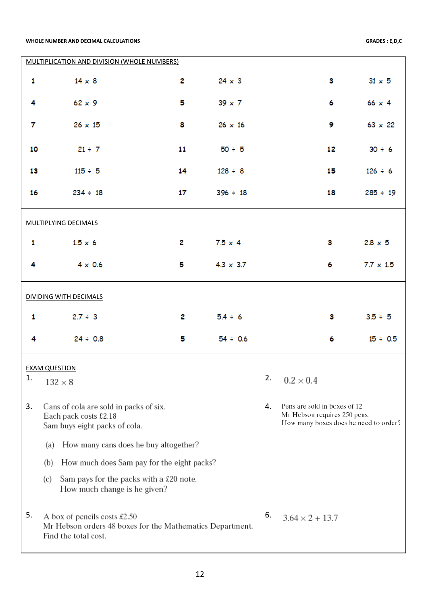#### **WHOLE NUMBER AND DECIMAL CALCULATIONS GRADES : E,D,C**

H

|    | MULTIPLICATION AND DIVISION (WHOLE NUMBERS)                                                                       |              |                  |    |                                                                                                        |                  |
|----|-------------------------------------------------------------------------------------------------------------------|--------------|------------------|----|--------------------------------------------------------------------------------------------------------|------------------|
| 1  | $14 \times 8$                                                                                                     | 2            | $24 \times 3$    |    | 3                                                                                                      | $31 \times 5$    |
| 4  | $62 \times 9$                                                                                                     | 5            | $39 \times 7$    |    | 6                                                                                                      | $66 \times 4$    |
| 7  | $26 \times 15$                                                                                                    | 8            | $26 \times 16$   |    | 9                                                                                                      | $63 \times 22$   |
| 10 | $21 \div 7$                                                                                                       | 11           | $50 \div 5$      |    | 12                                                                                                     | $30 \div 6$      |
| 13 | $115 \div 5$                                                                                                      | 14           | $128 \div 8$     |    | 15                                                                                                     | $126 \div 6$     |
| 16 | $234 \div 18$                                                                                                     | 17           | $396 \div 18$    |    | 18                                                                                                     | $285 \div 19$    |
|    | <b>MULTIPLYING DECIMALS</b>                                                                                       |              |                  |    |                                                                                                        |                  |
| 1  | $1.5 \times 6$                                                                                                    | 2            | $7.5 \times 4$   |    | 3.                                                                                                     | $2.8 \times 5$   |
| 4  | $4 \times 0.6$                                                                                                    | 5            | $4.3 \times 3.7$ |    | 6                                                                                                      | $7.7 \times 1.5$ |
|    | <b>DIVIDING WITH DECIMALS</b>                                                                                     |              |                  |    |                                                                                                        |                  |
| 1  | $2.7 \div 3$                                                                                                      | $\mathbf{z}$ | $5.4 \div 6$     |    | 3                                                                                                      | $3.5 \div 5$     |
| 4  | $24 \div 0.8$                                                                                                     | 5            | $54 \div 0.6$    |    | 6                                                                                                      | $15 \div 0.5$    |
|    | <b>EXAM QUESTION</b>                                                                                              |              |                  |    |                                                                                                        |                  |
| 1. | $132 \times 8$                                                                                                    |              |                  |    | 2. $0.2 \times 0.4$                                                                                    |                  |
| 3. | Cans of cola are sold in packs of six.<br>Each pack costs £2.18<br>Sam buys eight packs of cola.                  |              |                  | 4. | Pens are sold in boxes of 12.<br>Mr Hebson requires 250 pens.<br>How many boxes does he need to order? |                  |
|    | How many cans does he buy altogether?<br>(a)                                                                      |              |                  |    |                                                                                                        |                  |
|    | How much does Sam pay for the eight packs?<br>(b)                                                                 |              |                  |    |                                                                                                        |                  |
|    | Sam pays for the packs with a £20 note.<br>(c)<br>How much change is he given?                                    |              |                  |    |                                                                                                        |                  |
| 5. | A box of pencils costs £2.50<br>Mr Hebson orders 48 boxes for the Mathematics Department.<br>Find the total cost. |              |                  | 6. | $3.64 \times 2 + 13.7$                                                                                 |                  |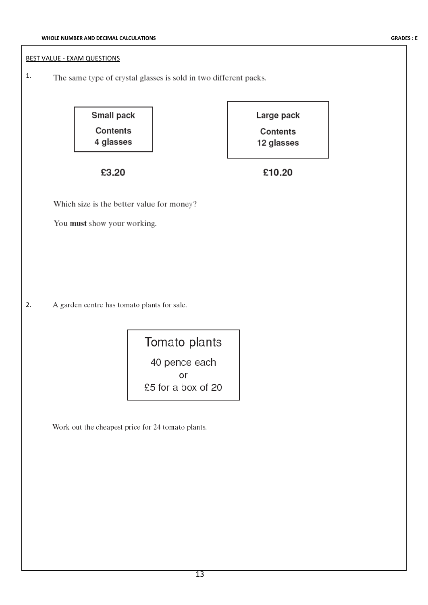#### BEST VALUE - EXAM QUESTIONS

1. The same type of crystal glasses is sold in two different packs.

> **Small pack Contents** 4 glasses

Large pack Contents 12 glasses

£3.20

£10.20

Which size is the better value for money?

You must show your working.

2. A garden centre has tomato plants for sale.

> Tomato plants 40 pence each or £5 for a box of 20

Work out the cheapest price for 24 tomato plants.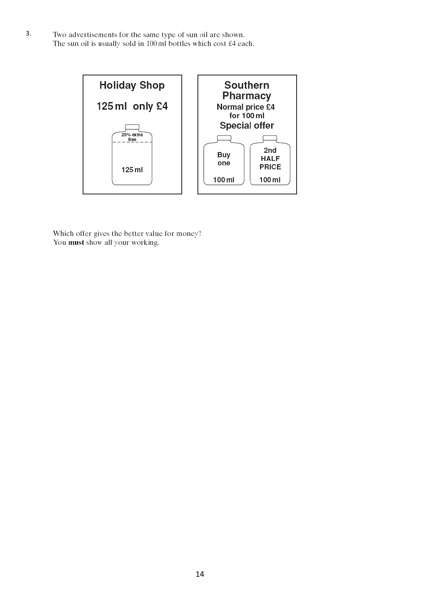3.Two advertisements for the same type of sun oil are shown. The sun oil is usually sold in 100 ml bottles which cost  $\pounds$ 4 each.



Which offer gives the better value for money?<br>You must show all your working.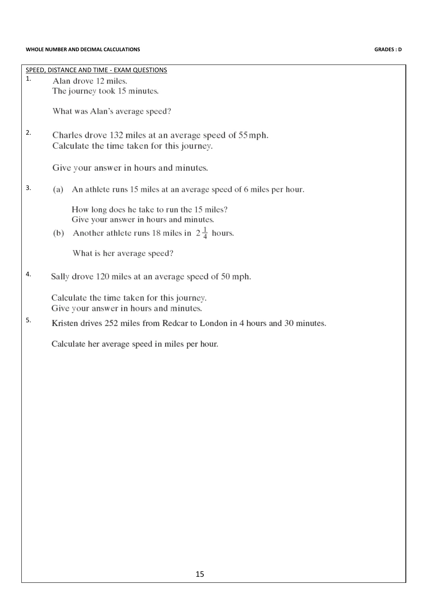| $\mathbf{1}$ . | SPEED, DISTANCE AND TIME - EXAM QUESTIONS<br>Alan drove 12 miles.                                                                                     |
|----------------|-------------------------------------------------------------------------------------------------------------------------------------------------------|
|                | The journey took 15 minutes.                                                                                                                          |
|                | What was Alan's average speed?                                                                                                                        |
| 2.             | Charles drove 132 miles at an average speed of 55 mph.<br>Calculate the time taken for this journey.                                                  |
|                | Give your answer in hours and minutes.                                                                                                                |
| 3.             | An athlete runs 15 miles at an average speed of 6 miles per hour.<br>(a)                                                                              |
|                | How long does he take to run the 15 miles?<br>Give your answer in hours and minutes.<br>Another athlete runs 18 miles in $2\frac{1}{4}$ hours.<br>(b) |
|                | What is her average speed?                                                                                                                            |
| 4.             | Sally drove 120 miles at an average speed of 50 mph.                                                                                                  |
|                | Calculate the time taken for this journey.<br>Give your answer in hours and minutes.                                                                  |
| 5.             | Kristen drives 252 miles from Redcar to London in 4 hours and 30 minutes.                                                                             |
|                | Calculate her average speed in miles per hour.                                                                                                        |
|                |                                                                                                                                                       |
|                |                                                                                                                                                       |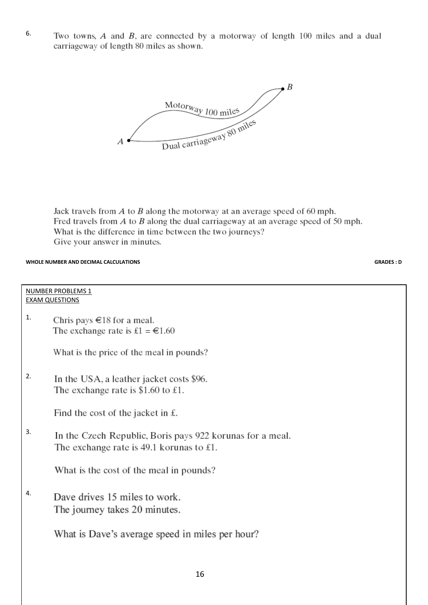6. Two towns,  $A$  and  $B$ , are connected by a motorway of length 100 miles and a dual carriageway of length 80 miles as shown.



Jack travels from  $A$  to  $B$  along the motorway at an average speed of 60 mph. Fred travels from  $A$  to  $B$  along the dual carriageway at an average speed of 50 mph. What is the difference in time between the two journeys? Give your answer in minutes.

#### **WHOLE NUMBER AND DECIMAL CALCULATIONS GRADES : D**

#### NUMBER PROBLEMS 1 EXAM QUESTIONS

1. Chris pays  $\in$  18 for a meal. The exchange rate is £1 =  $\epsilon$ 1.60

What is the price of the meal in pounds?

2. In the USA, a leather jacket costs \$96. The exchange rate is \$1.60 to £1.

Find the cost of the jacket in  $\pounds$ .

3. In the Czech Republic, Boris pays 922 korunas for a meal. The exchange rate is  $49.1$  korunas to £1.

What is the cost of the meal in pounds?

4.Dave drives 15 miles to work. The journey takes 20 minutes.

What is Dave's average speed in miles per hour?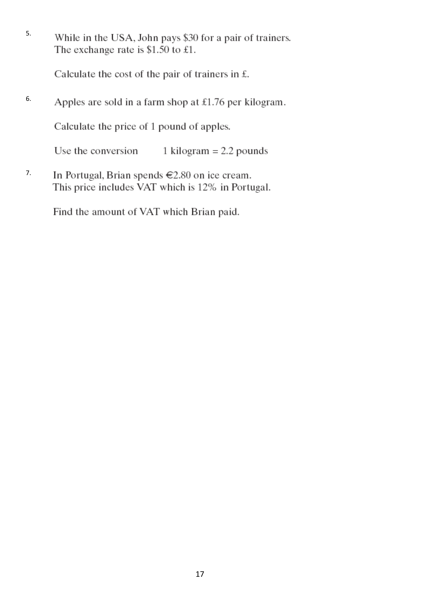5. While in the USA, John pays \$30 for a pair of trainers. The exchange rate is \$1.50 to £1.

Calculate the cost of the pair of trainers in  $f$ .

6. Apples are sold in a farm shop at  $£1.76$  per kilogram.

Calculate the price of 1 pound of apples.

Use the conversion 1 kilogram  $= 2.2$  pounds

7.In Portugal, Brian spends €2.80 on ice cream. This price includes VAT which is 12% in Portugal.

Find the amount of VAT which Brian paid.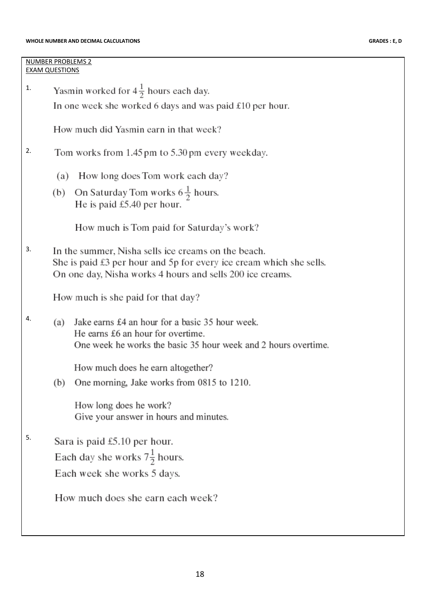#### **WHOLE NUMBER AND DECIMAL CALCULATIONS GRADES : E, D**

### NUMBER PROBLEMS 2 EXAM QUESTIONS

Yasmin worked for  $4\frac{1}{2}$  hours each day. 1. In one week she worked 6 days and was paid  $£10$  per hour.

How much did Yasmin earn in that week?

#### 2. Tom works from 1.45 pm to 5.30 pm every weekday.

- (a) How long does Tom work each day?
- (b) On Saturday Tom works  $6\frac{1}{2}$  hours. He is paid  $£5.40$  per hour.

How much is Tom paid for Saturday's work?

3. In the summer, Nisha sells ice creams on the beach. She is paid  $\pounds 3$  per hour and  $5p$  for every ice cream which she sells. On one day, Nisha works 4 hours and sells 200 ice creams.

How much is she paid for that day?

4. (a) Jake earns £4 an hour for a basic 35 hour week. He earns £6 an hour for overtime. One week he works the basic 35 hour week and 2 hours overtime.

How much does he earn altogether?

(b) One morning, Jake works from 0815 to 1210.

How long does he work? Give your answer in hours and minutes.

5.Sara is paid  $£5.10$  per hour.

Each day she works  $7\frac{1}{2}$  hours.

Each week she works 5 days.

How much does she earn each week?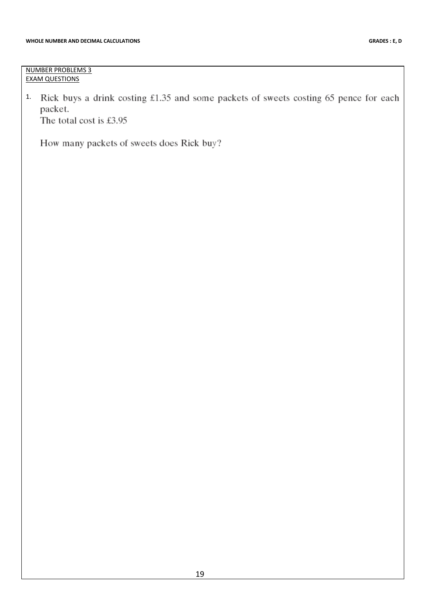NUMBER PROBLEMS 3 EXAM QUESTIONS

1. Rick buys a drink costing £1.35 and some packets of sweets costing 65 pence for each packet. The total cost is £3.95

How many packets of sweets does Rick buy?